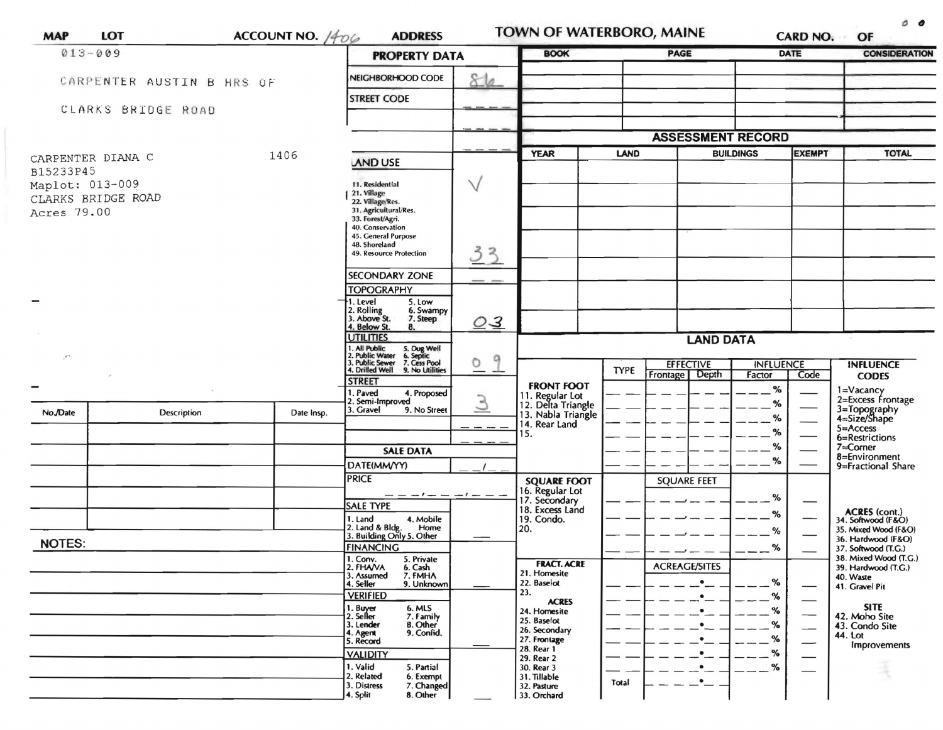| <b>MAP</b>                             | <b>LOT</b>                | ACCOUNT NO. $/406$<br><b>ADDRESS</b> |                                                                                                                                      |                                                                           |                     |                                                        |                  | <b>TOWN OF WATERBORO, MAINE</b> |                |                                              |                                            |
|----------------------------------------|---------------------------|--------------------------------------|--------------------------------------------------------------------------------------------------------------------------------------|---------------------------------------------------------------------------|---------------------|--------------------------------------------------------|------------------|---------------------------------|----------------|----------------------------------------------|--------------------------------------------|
| $013 - 009$                            |                           |                                      |                                                                                                                                      | <b>PROPERTY DATA</b>                                                      |                     | <b>BOOK</b>                                            |                  | <b>PAGE</b>                     |                | <b>DATE</b>                                  | <b>CONSIDERATION</b>                       |
|                                        | CARPENTER AUSTIN B HRS OF |                                      |                                                                                                                                      | NEIGHBORHOOD CODE                                                         | 86                  |                                                        |                  |                                 |                |                                              |                                            |
|                                        |                           |                                      |                                                                                                                                      | <b>STREET CODE</b>                                                        |                     |                                                        |                  |                                 |                |                                              |                                            |
| CLARKS BRIDGE ROAD                     |                           |                                      |                                                                                                                                      |                                                                           |                     |                                                        |                  |                                 |                |                                              |                                            |
|                                        |                           |                                      |                                                                                                                                      |                                                                           |                     | <b>ASSESSMENT RECORD</b>                               |                  |                                 |                |                                              |                                            |
| 1406<br>CARPENTER DIANA C<br>B15233P45 |                           |                                      | <b>AND USE</b>                                                                                                                       |                                                                           | <b>YEAR</b><br>LAND |                                                        | <b>BUILDINGS</b> |                                 | <b>EXEMPT</b>  | <b>TOTAL</b>                                 |                                            |
|                                        | Maplot: 013-009           |                                      | 11. Residential                                                                                                                      | $\vee$                                                                    |                     |                                                        |                  |                                 |                |                                              |                                            |
|                                        | CLARKS BRIDGE ROAD        |                                      | 21. Village<br>21. village/Res.<br>31. Agricultural/Res.                                                                             |                                                                           |                     |                                                        |                  |                                 |                |                                              |                                            |
| Acres 79.00                            |                           |                                      | 33. Forest/Agri.<br>40. Conservation                                                                                                 |                                                                           |                     |                                                        |                  |                                 |                |                                              |                                            |
|                                        |                           |                                      | 45. General Purpose<br>48. Shoreland                                                                                                 |                                                                           |                     |                                                        |                  |                                 |                |                                              |                                            |
|                                        |                           |                                      |                                                                                                                                      | 49. Resource Protection                                                   | 33                  |                                                        |                  |                                 |                |                                              |                                            |
|                                        |                           |                                      |                                                                                                                                      | <b>SECONDARY ZONE</b>                                                     |                     |                                                        |                  |                                 |                |                                              |                                            |
|                                        |                           |                                      |                                                                                                                                      | <b>TOPOGRAPHY</b><br>5. Low<br>1. Level                                   |                     |                                                        |                  |                                 |                |                                              |                                            |
|                                        |                           |                                      |                                                                                                                                      | 2. Rolling<br>3. Above St.<br>6. Swampy<br>7. Steep<br>4. Below St.<br>8. | Q <sub>3</sub>      |                                                        |                  |                                 |                |                                              |                                            |
|                                        |                           |                                      |                                                                                                                                      | <b>UTILITIES</b><br>. All Public                                          | <b>LAND DATA</b>    |                                                        |                  |                                 |                |                                              |                                            |
| $\cdot$                                |                           |                                      | 5. Dug Well<br>6. Septic<br>7. Cess Pool<br>2. Public Water<br>3. Public Sewer<br>4. Drilled Well<br>9<br>$\circ$<br>9. No Utilities |                                                                           |                     | <b>TYPE</b>                                            | <b>EFFECTIVE</b> | <b>INFLUENCE</b>                |                | <b>INFLUENCE</b>                             |                                            |
|                                        |                           |                                      |                                                                                                                                      | <b>STREET</b>                                                             |                     | <b>FRONT FOOT</b>                                      |                  | <b>Frontage</b><br>Depth        | Factor<br>$\%$ | Code                                         | <b>CODES</b>                               |
|                                        |                           |                                      |                                                                                                                                      | . Paved<br>4. Proposed<br>2. Semi-Improved                                | 3                   | 11. Regular Lot<br>12. Delta Triangle                  |                  |                                 | %              |                                              | 1=Vacancy<br>2=Excess Frontage             |
| No./Date                               | Description               | Date Insp.                           |                                                                                                                                      | 3. Gravel<br>9. No Street                                                 |                     | 13. Nabla Triangle<br>14. Rear Land                    |                  |                                 | %              |                                              | 3=Topography<br>4=Size/Shape               |
|                                        |                           |                                      |                                                                                                                                      |                                                                           |                     | 15.                                                    |                  |                                 | %              |                                              | $5 =$ Access<br>6=Restrictions             |
|                                        |                           |                                      |                                                                                                                                      | <b>SALE DATA</b>                                                          |                     |                                                        |                  |                                 | ℅<br>%         |                                              | 7=Corner<br>8=Environment                  |
|                                        |                           |                                      |                                                                                                                                      | DATE(MM/YY)                                                               |                     |                                                        |                  |                                 |                |                                              | 9=Fractional Share                         |
|                                        |                           |                                      |                                                                                                                                      | <b>PRICE</b>                                                              |                     | <b>SQUARE FOOT</b><br>16. Regular Lot<br>17. Secondary |                  | <b>SQUARE FEET</b>              |                |                                              |                                            |
|                                        |                           |                                      |                                                                                                                                      | <b>SALE TYPE</b>                                                          |                     | 18. Excess Land                                        |                  |                                 | %              |                                              | <b>ACRES</b> (cont.)                       |
|                                        |                           |                                      |                                                                                                                                      | 4. Mobile<br>1. Land<br>Home                                              |                     | 19. Condo.<br>20.                                      |                  |                                 | %              |                                              | 34. Softwood (F&O)<br>35. Mixed Wood (F&O) |
| <b>NOTES:</b>                          |                           |                                      |                                                                                                                                      | 2. Land & Bldg. Home<br>3. Building Only 5. Other                         |                     |                                                        |                  |                                 | %              |                                              | 36. Hardwood (F&O)                         |
|                                        |                           |                                      | <b>FINANCING</b><br>1. Conv. 5. Private                                                                                              |                                                                           |                     |                                                        |                  | %                               |                | 37. Softwood (T.G.)<br>38. Mixed Wood (T.G.) |                                            |
|                                        |                           |                                      |                                                                                                                                      | 2. FHAVA<br>6. Cash<br>3. Assumed<br>7. FMHA                              |                     | <b>FRACT. ACRE</b><br>21. Homesite                     |                  | <b>ACREAGE/SITES</b>            |                |                                              | 39. Hardwood (T.G.)<br>40. Waste           |
|                                        |                           |                                      |                                                                                                                                      | 4. Seller<br>9. Unknown<br><b>VERIFIED</b>                                |                     | 22. Baselot<br>23.                                     |                  |                                 | %              |                                              | 41. Gravel Pit                             |
|                                        |                           |                                      |                                                                                                                                      | 6. MLS                                                                    |                     | <b>ACRES</b><br>24. Homesite                           |                  |                                 | %<br>%         |                                              | SITE                                       |
|                                        |                           |                                      |                                                                                                                                      | 1. Buyer<br>2. Seller<br>7. Family<br>3. Lender<br><b>B.</b> Other        |                     | 25. Baselot                                            |                  |                                 | %              | --                                           | 42. Moho Site<br>43. Condo Site            |
|                                        |                           |                                      |                                                                                                                                      | 9. Confid.<br>4. Agent<br>5. Record                                       |                     | 26. Secondary<br>27. Frontage                          |                  |                                 | ℅              |                                              | 44. Lot                                    |
|                                        |                           |                                      |                                                                                                                                      | <b>VALIDITY</b>                                                           |                     | 28. Rear 1<br>29. Rear 2                               |                  |                                 | %              | —                                            | Improvements                               |
|                                        |                           |                                      |                                                                                                                                      | 1. Valid<br>5. Partial                                                    |                     | 30. Rear 3                                             |                  |                                 | %              |                                              |                                            |
|                                        |                           |                                      |                                                                                                                                      | 2. Related<br>6. Exempt<br>3. Distress<br>7. Changed                      |                     | 31. Tillable<br>32. Pasture                            | Total            | ٠                               |                |                                              |                                            |
|                                        |                           |                                      |                                                                                                                                      | 4. Split<br>8. Other                                                      |                     | 33. Orchard                                            |                  |                                 |                |                                              |                                            |